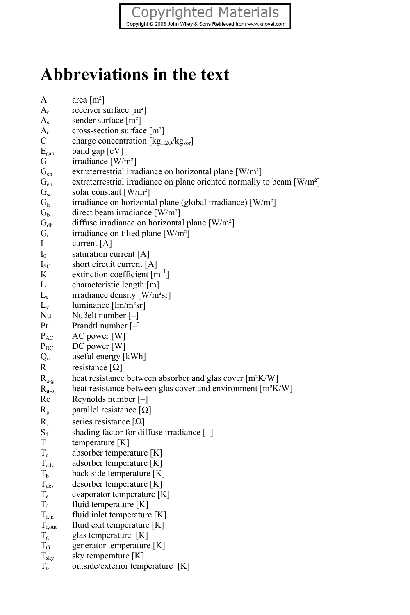## Copyrighted Materials<br>
Copyright © 2003 John Wiley & Sons Retrieved from www.knovel.com

## **Abbreviations in the text**

| A                | area $[m^2]$                                                                       |
|------------------|------------------------------------------------------------------------------------|
| $\rm A_r$        | receiver surface [m <sup>2</sup> ]                                                 |
| $A_{s}$          | sender surface [m <sup>2</sup> ]                                                   |
| $A_{c}$          | cross-section surface [m <sup>2</sup> ]                                            |
| C                | charge concentration [kg <sub>H2O</sub> /kg <sub>sor</sub> ]                       |
| $E_{\text{gap}}$ | band gap $ eV $                                                                    |
| G                | irradiance [W/m <sup>2</sup> ]                                                     |
| $G_{eh}$         | extraterrestrial irradiance on horizontal plane [W/m <sup>2</sup> ]                |
| $G_{en}$         | extraterrestrial irradiance on plane oriented normally to beam [W/m <sup>2</sup> ] |
| $G_{sc}$         | solar constant $[W/m^2]$                                                           |
| $G_h$            | irradiance on horizontal plane (global irradiance) [W/m <sup>2</sup> ]             |
| G <sub>b</sub>   | direct beam irradiance [W/m <sup>2</sup> ]                                         |
| $G_{\text{dh}}$  | diffuse irradiance on horizontal plane [W/m <sup>2</sup> ]                         |
| $G_{t}$          | irradiance on tilted plane [W/m <sup>2</sup> ]                                     |
| Ι                | current [A]                                                                        |
| $\mathbf{I}_0$   | saturation current [A]                                                             |
| $I_{SC}$         | short circuit current [A]                                                          |
| K                | extinction coefficient $[m^{-1}]$                                                  |
| L                | characteristic length [m]                                                          |
| $L_e$            | irradiance density [W/m <sup>2</sup> sr]                                           |
| $L_{v}$          | luminance [lm/m <sup>2</sup> sr]                                                   |
| Nu               | Nußelt number [-]                                                                  |
| Pr               | Prandtl number [-]                                                                 |
| $P_{AC}$         | AC power [W]                                                                       |
| $P_{DC}$         | DC power [W]                                                                       |
| $Q_{u}$          | useful energy [kWh]                                                                |
| R                | resistance $[\Omega]$                                                              |
| $R_{a-g}$        | heat resistance between absorber and glas cover [m <sup>2</sup> K/W]               |
| $R_{g-0}$        | heat resistance between glas cover and environment [m <sup>2</sup> K/W]            |
| Re               | Reynolds number $[-]$                                                              |
| $R_p$            | parallel resistance [ $\Omega$ ]                                                   |
| $R_{s}$          | series resistance $[\Omega]$                                                       |
| $\mathrm{S_d}$   | shading factor for diffuse irradiance $[-]$                                        |
| T                | temperature [K]                                                                    |
| $T_{a}$          | absorber temperature [K]                                                           |
| $T_{ads}$        | adsorber temperature [K]                                                           |
| Tь               | back side temperature [K]                                                          |
| $T_{des}$        | desorber temperature [K]                                                           |
| $T_e$            | evaporator temperature [K]                                                         |
| $T_{\rm f}$      | fluid temperature [K]                                                              |
| $T_{f,in}$       | fluid inlet temperature [K]                                                        |
| $T_{f,out}$      | fluid exit temperature [K]                                                         |
| $T_{\rm g}$      | glas temperature [K]                                                               |
| $T_G$            | generator temperature [K]                                                          |
| $T_{sky}$        | sky temperature [K]                                                                |
| $T_{o}$          | outside/exterior temperature [K]                                                   |